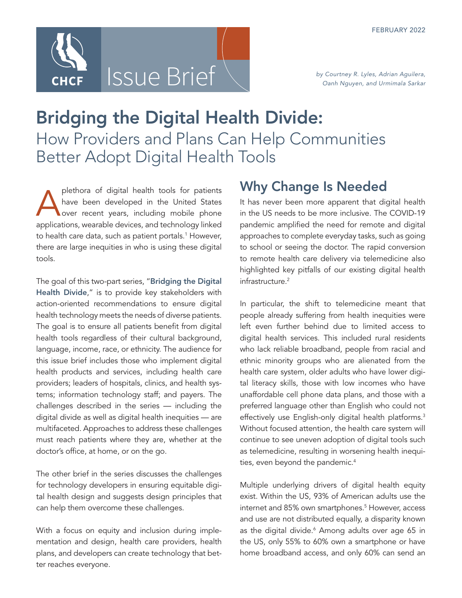

# Bridging the Digital Health Divide: How Providers and Plans Can Help Communities Better Adopt Digital Health Tools

plethora of digital health tools for patients<br>have been developed in the United States<br>over recent years, including mobile phone have been developed in the United States over recent years, including mobile phone applications, wearable devices, and technology linked to health care data, such as patient portals.<sup>1</sup> However, there are large inequities in who is using these digital tools.

The goal of this two-part series, "Bridging the Digital [Health Divide](http://www.chcf.org/publication/bridging-digital-health-divide-series)," is to provide key stakeholders with action-oriented recommendations to ensure digital health technology meets the needs of diverse patients. The goal is to ensure all patients benefit from digital health tools regardless of their cultural background, language, income, race, or ethnicity. The audience for this issue brief includes those who implement digital health products and services, including health care providers; leaders of hospitals, clinics, and health systems; information technology staff; and payers. The challenges described in the series — including the digital divide as well as digital health inequities — are multifaceted. Approaches to address these challenges must reach patients where they are, whether at the doctor's office, at home, or on the go.

The other brief in the series discusses the challenges for technology developers in ensuring equitable digital health design and suggests design principles that can help them overcome these challenges.

With a focus on equity and inclusion during implementation and design, health care providers, health plans, and developers can create technology that better reaches everyone.

## Why Change Is Needed

It has never been more apparent that digital health in the US needs to be more inclusive. The COVID-19 pandemic amplified the need for remote and digital approaches to complete everyday tasks, such as going to school or seeing the doctor. The rapid conversion to remote health care delivery via telemedicine also highlighted key pitfalls of our existing digital health infrastructure.<sup>2</sup>

In particular, the shift to telemedicine meant that people already suffering from health inequities were left even further behind due to limited access to digital health services. This included rural residents who lack reliable broadband, people from racial and ethnic minority groups who are alienated from the health care system, older adults who have lower digital literacy skills, those with low incomes who have unaffordable cell phone data plans, and those with a preferred language other than English who could not effectively use English-only digital health platforms.<sup>3</sup> Without focused attention, the health care system will continue to see uneven adoption of digital tools such as telemedicine, resulting in worsening health inequities, even beyond the pandemic.<sup>4</sup>

Multiple underlying drivers of digital health equity exist. Within the US, 93% of American adults use the internet and 85% own smartphones.<sup>5</sup> However, access and use are not distributed equally, a disparity known as the digital divide.<sup>6</sup> Among adults over age 65 in the US, only 55% to 60% own a smartphone or have home broadband access, and only 60% can send an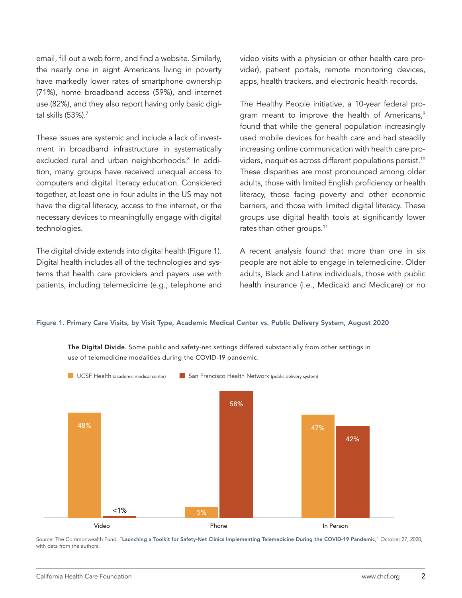email, fill out a web form, and find a website. Similarly, the nearly one in eight Americans living in poverty have markedly lower rates of smartphone ownership (71%), home broadband access (59%), and internet use (82%), and they also report having only basic digital skills (53%).7

These issues are systemic and include a lack of investment in broadband infrastructure in systematically excluded rural and urban neighborhoods.<sup>8</sup> In addition, many groups have received unequal access to computers and digital literacy education. Considered together, at least one in four adults in the US may not have the digital literacy, access to the internet, or the necessary devices to meaningfully engage with digital technologies.

The digital divide extends into digital health (Figure 1). Digital health includes all of the technologies and systems that health care providers and payers use with patients, including telemedicine (e.g., telephone and video visits with a physician or other health care provider), patient portals, remote monitoring devices, apps, health trackers, and electronic health records.

The Healthy People initiative, a 10-year federal program meant to improve the health of Americans, $9$ found that while the general population increasingly used mobile devices for health care and had steadily increasing online communication with health care providers, inequities across different populations persist.<sup>10</sup> These disparities are most pronounced among older adults, those with limited English proficiency or health literacy, those facing poverty and other economic barriers, and those with limited digital literacy. These groups use digital health tools at significantly lower rates than other groups.<sup>11</sup>

A recent analysis found that more than one in six people are not able to engage in telemedicine. Older adults, Black and Latinx individuals, those with public health insurance (i.e., Medicaid and Medicare) or no

#### Figure 1. Primary Care Visits, by Visit Type, Academic Medical Center vs. Public Delivery System, August 2020

The Digital Divide. Some public and safety-net settings differed substantially from other settings in use of telemedicine modalities during the COVID-19 pandemic.



Source: The Commonwealth Fund, "[Launching a Toolkit for Safety-Net Clinics Implementing Telemedicine During the COVID-19 Pandemic](https://www.commonwealthfund.org/blog/2020/launching-toolkit-safety-net-clinics-implementing-telemedicine-during-covid-19-pandemic)," October 27, 2020, with data from the authors.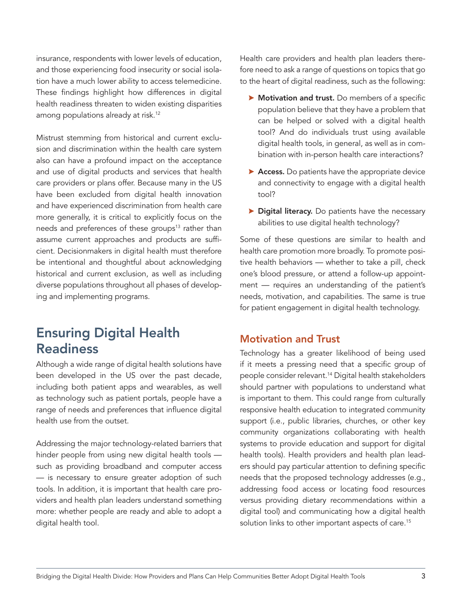insurance, respondents with lower levels of education, and those experiencing food insecurity or social isolation have a much lower ability to access telemedicine. These findings highlight how differences in digital health readiness threaten to widen existing disparities among populations already at risk.<sup>12</sup>

Mistrust stemming from historical and current exclusion and discrimination within the health care system also can have a profound impact on the acceptance and use of digital products and services that health care providers or plans offer. Because many in the US have been excluded from digital health innovation and have experienced discrimination from health care more generally, it is critical to explicitly focus on the needs and preferences of these groups<sup>13</sup> rather than assume current approaches and products are sufficient. Decisionmakers in digital health must therefore be intentional and thoughtful about acknowledging historical and current exclusion, as well as including diverse populations throughout all phases of developing and implementing programs.

## Ensuring Digital Health **Readiness**

Although a wide range of digital health solutions have been developed in the US over the past decade, including both patient apps and wearables, as well as technology such as patient portals, people have a range of needs and preferences that influence digital health use from the outset.

Addressing the major technology-related barriers that hinder people from using new digital health tools such as providing broadband and computer access — is necessary to ensure greater adoption of such tools. In addition, it is important that health care providers and health plan leaders understand something more: whether people are ready and able to adopt a digital health tool.

Health care providers and health plan leaders therefore need to ask a range of questions on topics that go to the heart of digital readiness, such as the following:

- $\triangleright$  Motivation and trust. Do members of a specific population believe that they have a problem that can be helped or solved with a digital health tool? And do individuals trust using available digital health tools, in general, as well as in combination with in-person health care interactions?
- Access. Do patients have the appropriate device and connectivity to engage with a digital health tool?
- **Digital literacy.** Do patients have the necessary abilities to use digital health technology?

Some of these questions are similar to health and health care promotion more broadly. To promote positive health behaviors — whether to take a pill, check one's blood pressure, or attend a follow-up appointment — requires an understanding of the patient's needs, motivation, and capabilities. The same is true for patient engagement in digital health technology.

## Motivation and Trust

Technology has a greater likelihood of being used if it meets a pressing need that a specific group of people consider relevant.<sup>14</sup> Digital health stakeholders should partner with populations to understand what is important to them. This could range from culturally responsive health education to integrated community support (i.e., public libraries, churches, or other key community organizations collaborating with health systems to provide education and support for digital health tools). Health providers and health plan leaders should pay particular attention to defining specific needs that the proposed technology addresses (e.g., addressing food access or locating food resources versus providing dietary recommendations within a digital tool) and communicating how a digital health solution links to other important aspects of care.<sup>15</sup>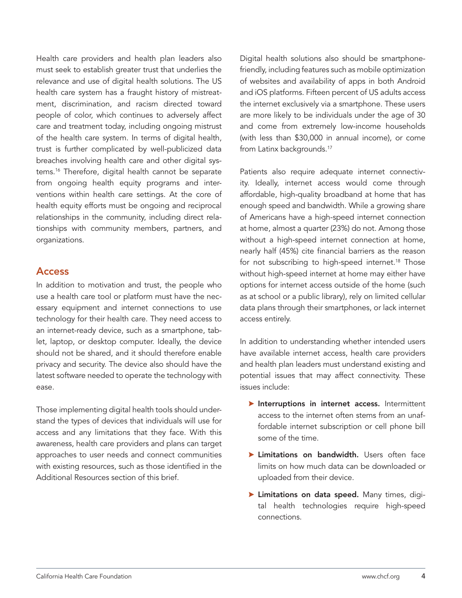Health care providers and health plan leaders also must seek to establish greater trust that underlies the relevance and use of digital health solutions. The US health care system has a fraught history of mistreatment, discrimination, and racism directed toward people of color, which continues to adversely affect care and treatment today, including ongoing mistrust of the health care system. In terms of digital health, trust is further complicated by well-publicized data breaches involving health care and other digital systems.16 Therefore, digital health cannot be separate from ongoing health equity programs and interventions within health care settings. At the core of health equity efforts must be ongoing and reciprocal relationships in the community, including direct relationships with community members, partners, and organizations.

## Access

In addition to motivation and trust, the people who use a health care tool or platform must have the necessary equipment and internet connections to use technology for their health care. They need access to an internet-ready device, such as a smartphone, tablet, laptop, or desktop computer. Ideally, the device should not be shared, and it should therefore enable privacy and security. The device also should have the latest software needed to operate the technology with ease.

Those implementing digital health tools should understand the types of devices that individuals will use for access and any limitations that they face. With this awareness, health care providers and plans can target approaches to user needs and connect communities with existing resources, such as those identified in the Additional Resources section of this brief.

Digital health solutions also should be smartphonefriendly, including features such as mobile optimization of websites and availability of apps in both Android and iOS platforms. Fifteen percent of US adults access the internet exclusively via a smartphone. These users are more likely to be individuals under the age of 30 and come from extremely low-income households (with less than \$30,000 in annual income), or come from Latinx backgrounds.<sup>17</sup>

Patients also require adequate internet connectivity. Ideally, internet access would come through affordable, high-quality broadband at home that has enough speed and bandwidth. While a growing share of Americans have a high-speed internet connection at home, almost a quarter (23%) do not. Among those without a high-speed internet connection at home, nearly half (45%) cite financial barriers as the reason for not subscribing to high-speed internet.<sup>18</sup> Those without high-speed internet at home may either have options for internet access outside of the home (such as at school or a public library), rely on limited cellular data plans through their smartphones, or lack internet access entirely.

In addition to understanding whether intended users have available internet access, health care providers and health plan leaders must understand existing and potential issues that may affect connectivity. These issues include:

- $\blacktriangleright$  Interruptions in internet access. Intermittent access to the internet often stems from an unaffordable internet subscription or cell phone bill some of the time.
- $\blacktriangleright$  Limitations on bandwidth. Users often face limits on how much data can be downloaded or uploaded from their device.
- > Limitations on data speed. Many times, digital health technologies require high-speed connections.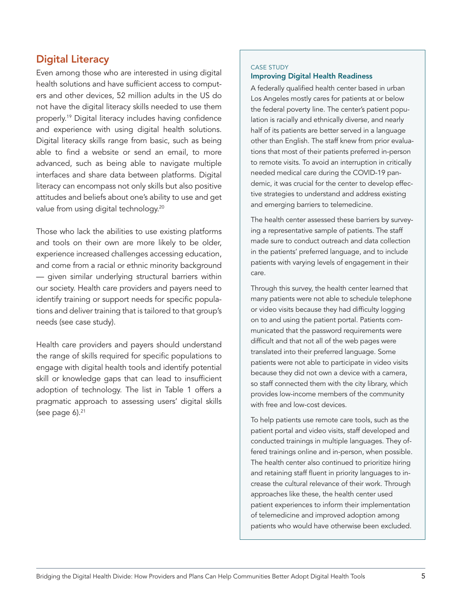## Digital Literacy

Even among those who are interested in using digital health solutions and have sufficient access to computers and other devices, 52 million adults in the US do not have the digital literacy skills needed to use them properly.19 Digital literacy includes having confidence and experience with using digital health solutions. Digital literacy skills range from basic, such as being able to find a website or send an email, to more advanced, such as being able to navigate multiple interfaces and share data between platforms. Digital literacy can encompass not only skills but also positive attitudes and beliefs about one's ability to use and get value from using digital technology.<sup>20</sup>

Those who lack the abilities to use existing platforms and tools on their own are more likely to be older, experience increased challenges accessing education, and come from a racial or ethnic minority background — given similar underlying structural barriers within our society. Health care providers and payers need to identify training or support needs for specific populations and deliver training that is tailored to that group's needs (see case study).

Health care providers and payers should understand the range of skills required for specific populations to engage with digital health tools and identify potential skill or knowledge gaps that can lead to insufficient adoption of technology. The list in Table 1 offers a pragmatic approach to assessing users' digital skills (see page  $6$ ). $21$ 

## CASE STUDY Improving Digital Health Readiness

A federally qualified health center based in urban Los Angeles mostly cares for patients at or below the federal poverty line. The center's patient population is racially and ethnically diverse, and nearly half of its patients are better served in a language other than English. The staff knew from prior evaluations that most of their patients preferred in-person to remote visits. To avoid an interruption in critically needed medical care during the COVID-19 pandemic, it was crucial for the center to develop effective strategies to understand and address existing and emerging barriers to telemedicine.

The health center assessed these barriers by surveying a representative sample of patients. The staff made sure to conduct outreach and data collection in the patients' preferred language, and to include patients with varying levels of engagement in their care.

Through this survey, the health center learned that many patients were not able to schedule telephone or video visits because they had difficulty logging on to and using the patient portal. Patients communicated that the password requirements were difficult and that not all of the web pages were translated into their preferred language. Some patients were not able to participate in video visits because they did not own a device with a camera, so staff connected them with the city library, which provides low-income members of the community with free and low-cost devices.

To help patients use remote care tools, such as the patient portal and video visits, staff developed and conducted trainings in multiple languages. They offered trainings online and in-person, when possible. The health center also continued to prioritize hiring and retaining staff fluent in priority languages to increase the cultural relevance of their work. Through approaches like these, the health center used patient experiences to inform their implementation of telemedicine and improved adoption among patients who would have otherwise been excluded.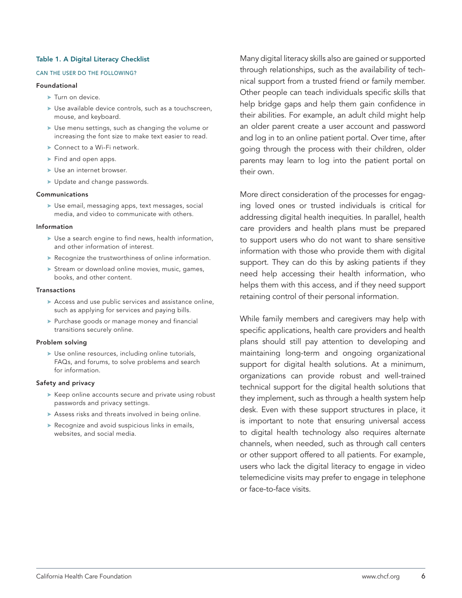#### Table 1. A Digital Literacy Checklist

#### CAN THE USER DO THE FOLLOWING?

#### Foundational

- $\blacktriangleright$  Turn on device.
- $\blacktriangleright$  Use available device controls, such as a touchscreen, mouse, and keyboard.
- **>** Use menu settings, such as changing the volume or increasing the font size to make text easier to read.
- $\triangleright$  Connect to a Wi-Fi network.
- $\blacktriangleright$  Find and open apps.
- $\blacktriangleright$  Use an internet browser.
- $\blacktriangleright$  Update and change passwords.

#### Communications

**>** Use email, messaging apps, text messages, social media, and video to communicate with others.

#### Information

- $\blacktriangleright$  Use a search engine to find news, health information, and other information of interest.
- $\blacktriangleright$  Recognize the trustworthiness of online information.
- $\triangleright$  Stream or download online movies, music, games, books, and other content.

#### Transactions

- $\blacktriangleright$  Access and use public services and assistance online, such as applying for services and paying bills.
- $\triangleright$  Purchase goods or manage money and financial transitions securely online.

#### Problem solving

 $\blacktriangleright$  Use online resources, including online tutorials, FAQs, and forums, to solve problems and search for information.

#### Safety and privacy

- $\blacktriangleright$  Keep online accounts secure and private using robust passwords and privacy settings.
- $\blacktriangleright$  Assess risks and threats involved in being online.
- $\triangleright$  Recognize and avoid suspicious links in emails, websites, and social media.

Many digital literacy skills also are gained or supported through relationships, such as the availability of technical support from a trusted friend or family member. Other people can teach individuals specific skills that help bridge gaps and help them gain confidence in their abilities. For example, an adult child might help an older parent create a user account and password and log in to an online patient portal. Over time, after going through the process with their children, older parents may learn to log into the patient portal on their own.

More direct consideration of the processes for engaging loved ones or trusted individuals is critical for addressing digital health inequities. In parallel, health care providers and health plans must be prepared to support users who do not want to share sensitive information with those who provide them with digital support. They can do this by asking patients if they need help accessing their health information, who helps them with this access, and if they need support retaining control of their personal information.

While family members and caregivers may help with specific applications, health care providers and health plans should still pay attention to developing and maintaining long-term and ongoing organizational support for digital health solutions. At a minimum, organizations can provide robust and well-trained technical support for the digital health solutions that they implement, such as through a health system help desk. Even with these support structures in place, it is important to note that ensuring universal access to digital health technology also requires alternate channels, when needed, such as through call centers or other support offered to all patients. For example, users who lack the digital literacy to engage in video telemedicine visits may prefer to engage in telephone or face-to-face visits.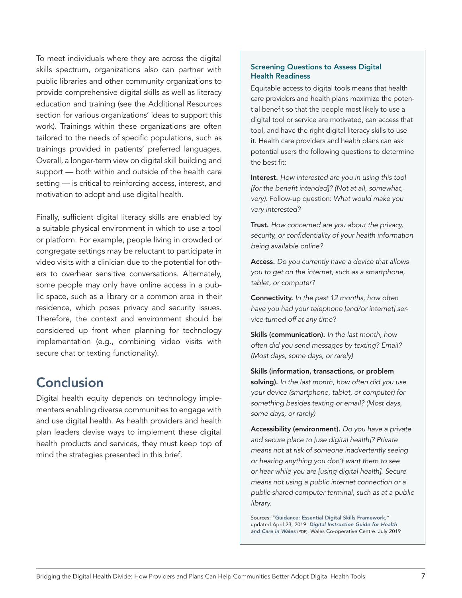To meet individuals where they are across the digital skills spectrum, organizations also can partner with public libraries and other community organizations to provide comprehensive digital skills as well as literacy education and training (see the Additional Resources section for various organizations' ideas to support this work). Trainings within these organizations are often tailored to the needs of specific populations, such as trainings provided in patients' preferred languages. Overall, a longer-term view on digital skill building and support — both within and outside of the health care setting — is critical to reinforcing access, interest, and motivation to adopt and use digital health.

Finally, sufficient digital literacy skills are enabled by a suitable physical environment in which to use a tool or platform. For example, people living in crowded or congregate settings may be reluctant to participate in video visits with a clinician due to the potential for others to overhear sensitive conversations. Alternately, some people may only have online access in a public space, such as a library or a common area in their residence, which poses privacy and security issues. Therefore, the context and environment should be considered up front when planning for technology implementation (e.g., combining video visits with secure chat or texting functionality).

## Conclusion

Digital health equity depends on technology implementers enabling diverse communities to engage with and use digital health. As health providers and health plan leaders devise ways to implement these digital health products and services, they must keep top of mind the strategies presented in this brief.

### Screening Questions to Assess Digital Health Readiness

Equitable access to digital tools means that health care providers and health plans maximize the potential benefit so that the people most likely to use a digital tool or service are motivated, can access that tool, and have the right digital literacy skills to use it. Health care providers and health plans can ask potential users the following questions to determine the best fit:

Interest. *How interested are you in using this tool [for the benefit intended]? (Not at all, somewhat, very).* Follow-up question: *What would make you very interested?*

Trust. *How concerned are you about the privacy, security, or confidentiality of your health information being available online?*

Access. *Do you currently have a device that allows you to get on the internet, such as a smartphone, tablet, or computer?*

Connectivity. *In the past 12 months, how often have you had your telephone [and/or internet] service turned off at any time?*

Skills (communication). *In the last month, how often did you send messages by texting? Email? (Most days, some days, or rarely)*

Skills (information, transactions, or problem solving). *In the last month, how often did you use your device (smartphone, tablet, or computer) for something besides texting or email? (Most days, some days, or rarely)*

Accessibility (environment). *Do you have a private and secure place to [use digital health]? Private means not at risk of someone inadvertently seeing or hearing anything you don't want them to see or hear while you are [using digital health]. Secure means not using a public internet connection or a public shared computer terminal, such as at a public library.*

Sources: "[Guidance: Essential Digital Skills Framework](https://www.gov.uk/government/publications/essential-digital-skills-framework/essential-digital-skills-framework)*,"*  updated April 23, 2019. *[Digital Instruction Guide for Health](https://nwis.nhs.wales/files/publications/digital-inc-guide-0619-english-pdf/)  [and Care in Wales](https://nwis.nhs.wales/files/publications/digital-inc-guide-0619-english-pdf/)* (PDF). Wales Co-operative Centre. July 2019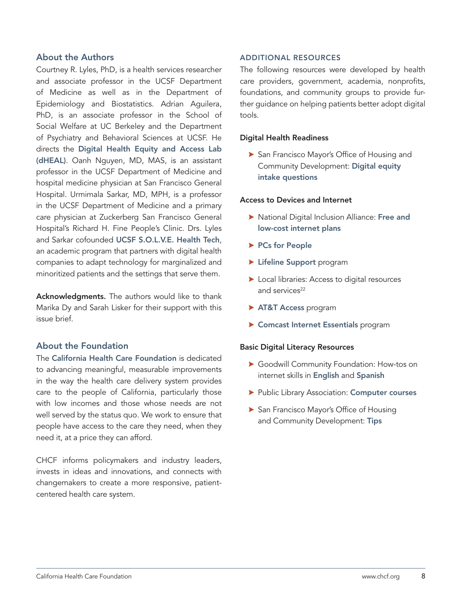## About the Authors

Courtney R. Lyles, PhD, is a health services researcher and associate professor in the UCSF Department of Medicine as well as in the Department of Epidemiology and Biostatistics. Adrian Aguilera, PhD, is an associate professor in the School of Social Welfare at UC Berkeley and the Department of Psychiatry and Behavioral Sciences at UCSF. He directs the [Digital Health Equity and Access Lab](https://dheal.berkeley.edu)  [\(dHEAL\)](https://dheal.berkeley.edu). Oanh Nguyen, MD, MAS, is an assistant professor in the UCSF Department of Medicine and hospital medicine physician at San Francisco General Hospital. Urmimala Sarkar, MD, MPH, is a professor in the UCSF Department of Medicine and a primary care physician at Zuckerberg San Francisco General Hospital's Richard H. Fine People's Clinic. Drs. Lyles and Sarkar cofounded [UCSF S.O.L.V.E. Health Tech](https://solvehealthtech.ucsf.edu), an academic program that partners with digital health companies to adapt technology for marginalized and minoritized patients and the settings that serve them.

Acknowledgments. The authors would like to thank Marika Dy and Sarah Lisker for their support with this issue brief.

## About the Foundation

The [California Health Care Foundation](http://www.chcf.org) is dedicated to advancing meaningful, measurable improvements in the way the health care delivery system provides care to the people of California, particularly those with low incomes and those whose needs are not well served by the status quo. We work to ensure that people have access to the care they need, when they need it, at a price they can afford.

CHCF informs policymakers and industry leaders, invests in ideas and innovations, and connects with changemakers to create a more responsive, patientcentered health care system.

### ADDITIONAL RESOURCES

The following resources were developed by health care providers, government, academia, nonprofits, foundations, and community groups to provide further guidance on helping patients better adopt digital tools.

#### Digital Health Readiness

San Francisco Mayor's Office of Housing and Community Development: [Digital equity](https://docs.google.com/forms/d/e/1FAIpQLScn2jL1kHThziitkft7xcVt01vaUE7BoCGZtc_Z6K2fdA9dMA/viewform)  [intake questions](https://docs.google.com/forms/d/e/1FAIpQLScn2jL1kHThziitkft7xcVt01vaUE7BoCGZtc_Z6K2fdA9dMA/viewform)

#### Access to Devices and Internet

- $\triangleright$  National Digital Inclusion Alliance: Free and [low-cost internet plans](https://www.digitalinclusion.org/free-low-cost-internet-plans/)
- $\blacktriangleright$  [PCs for People](https://www.pcsforpeople.org)
- $\blacktriangleright$  [Lifeline Support](https://www.lifelinesupport.org) program
- $\blacktriangleright$  Local libraries: Access to digital resources and services<sup>22</sup>
- > [AT&T Access](https://www.att.com/internet/access/) program
- **Exercise Sentials program**

#### Basic Digital Literacy Resources

- **Soodwill Community Foundation: How-tos on** internet skills in [English](https://edu.gcfglobal.org/en/) and [Spanish](https://edu.gcfglobal.org/es/)
- **> Public Library Association: [Computer courses](https://www.digitallearn.org)**
- San Francisco Mayor's Office of Housing and Community Development: [Tips](https://sfmohcd.org/sites/default/files/Digital%20Equity%20Playbook%20v1.pdf)